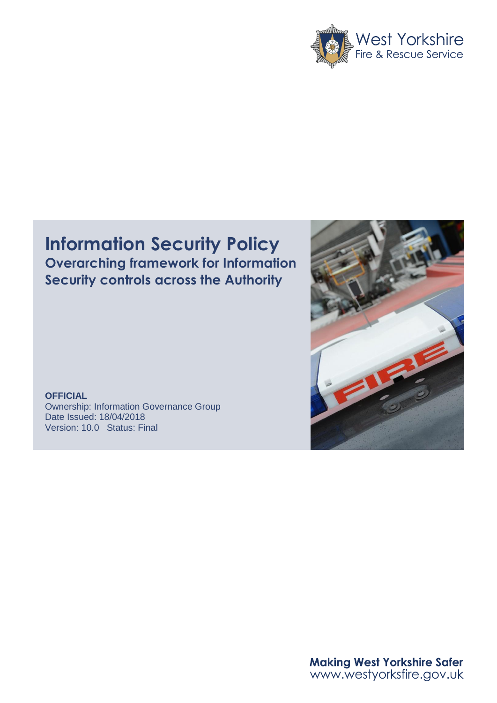

# **Information Security Policy Overarching framework for Information Security controls across the Authority**

**OFFICIAL** Ownership: Information Governance Group Date Issued: 18/04/2018 Version: 10.0 Status: Final



**Making West Yorkshire Safer** www.westyorksfire.gov.uk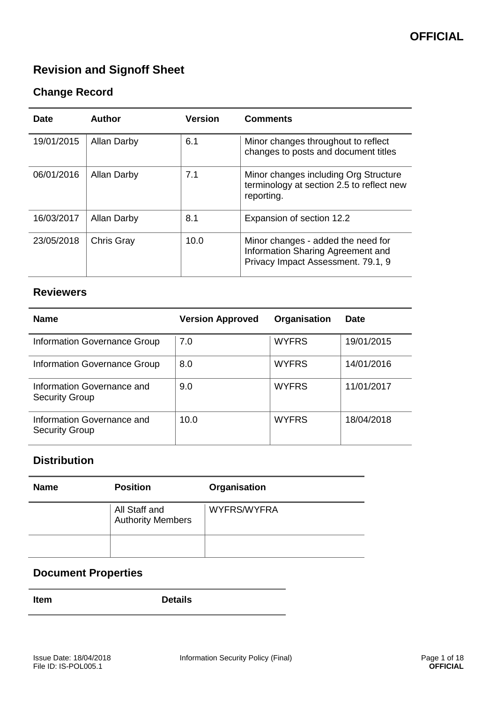# **Revision and Signoff Sheet**

## **Change Record**

| <b>Date</b> | Author             | <b>Version</b> | <b>Comments</b>                                                                                               |
|-------------|--------------------|----------------|---------------------------------------------------------------------------------------------------------------|
| 19/01/2015  | <b>Allan Darby</b> | 6.1            | Minor changes throughout to reflect<br>changes to posts and document titles                                   |
| 06/01/2016  | <b>Allan Darby</b> | 7.1            | Minor changes including Org Structure<br>terminology at section 2.5 to reflect new<br>reporting.              |
| 16/03/2017  | <b>Allan Darby</b> | 8.1            | Expansion of section 12.2                                                                                     |
| 23/05/2018  | Chris Gray         | 10.0           | Minor changes - added the need for<br>Information Sharing Agreement and<br>Privacy Impact Assessment. 79.1, 9 |

## **Reviewers**

| <b>Name</b>                                         | <b>Version Approved</b> | Organisation | <b>Date</b> |
|-----------------------------------------------------|-------------------------|--------------|-------------|
| Information Governance Group                        | 7.0                     | <b>WYFRS</b> | 19/01/2015  |
| Information Governance Group                        | 8.0                     | <b>WYFRS</b> | 14/01/2016  |
| Information Governance and<br><b>Security Group</b> | 9.0                     | <b>WYFRS</b> | 11/01/2017  |
| Information Governance and<br><b>Security Group</b> | 10.0                    | <b>WYFRS</b> | 18/04/2018  |

## **Distribution**

| <b>Name</b> | <b>Position</b>                           | Organisation |
|-------------|-------------------------------------------|--------------|
|             | All Staff and<br><b>Authority Members</b> | WYFRS/WYFRA  |
|             |                                           |              |

## **Document Properties**

**Item Details**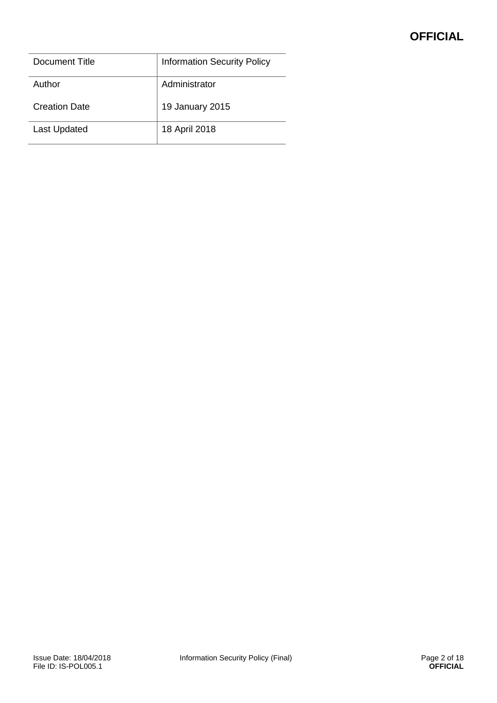## **OFFICIAL**

| Document Title       | <b>Information Security Policy</b> |
|----------------------|------------------------------------|
| Author               | Administrator                      |
| <b>Creation Date</b> | 19 January 2015                    |
| <b>Last Updated</b>  | 18 April 2018                      |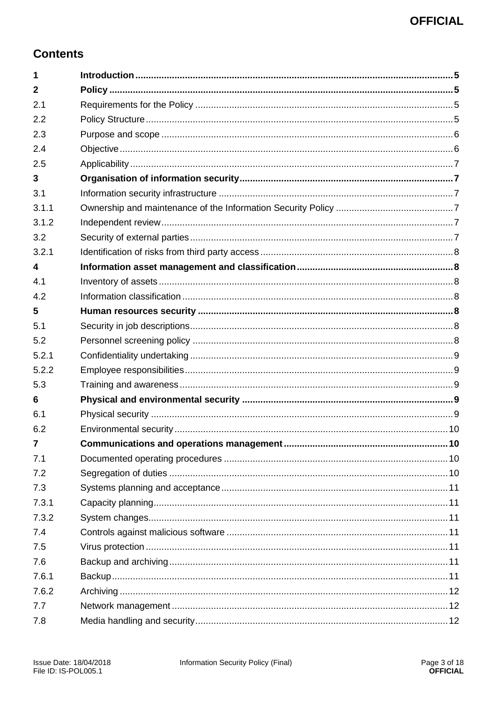## **Contents**

| 1                       |  |
|-------------------------|--|
| $\overline{2}$          |  |
| 2.1                     |  |
| 2.2                     |  |
| 2.3                     |  |
| 2.4                     |  |
| 2.5                     |  |
| 3                       |  |
| 3.1                     |  |
| 3.1.1                   |  |
| 3.1.2                   |  |
| 3.2                     |  |
| 3.2.1                   |  |
| $\overline{\mathbf{A}}$ |  |
| 4.1                     |  |
| 4.2                     |  |
| 5                       |  |
| 5.1                     |  |
| 5.2                     |  |
| 5.2.1                   |  |
| 5.2.2                   |  |
| 5.3                     |  |
| 6                       |  |
| 6.1                     |  |
| 6.2                     |  |
| $\overline{7}$          |  |
| 7.1                     |  |
| 7.2                     |  |
| 7.3                     |  |
| 7.3.1                   |  |
| 7.3.2                   |  |
| 7.4                     |  |
| 7.5                     |  |
| 7.6                     |  |
| 7.6.1                   |  |
| 7.6.2                   |  |
| 7.7                     |  |
| 7.8                     |  |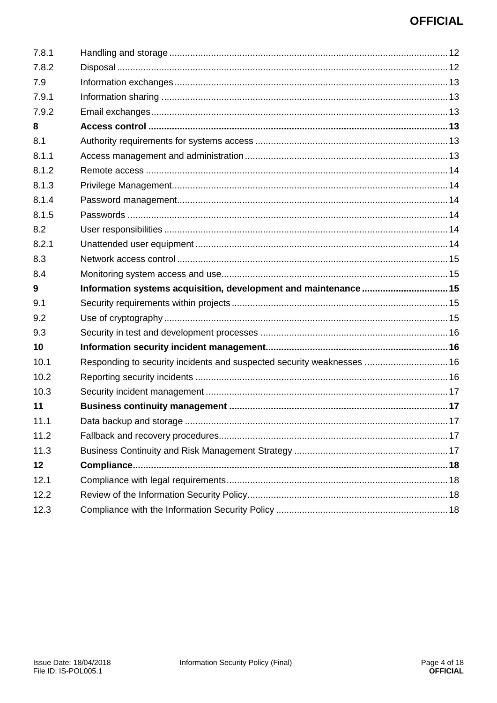## **OFFICIAL**

| 7.8.1 |                                                                        |  |
|-------|------------------------------------------------------------------------|--|
| 7.8.2 |                                                                        |  |
| 7.9   |                                                                        |  |
| 7.9.1 |                                                                        |  |
| 7.9.2 |                                                                        |  |
| 8     |                                                                        |  |
| 8.1   |                                                                        |  |
| 8.1.1 |                                                                        |  |
| 8.1.2 |                                                                        |  |
| 8.1.3 |                                                                        |  |
| 8.1.4 |                                                                        |  |
| 8.1.5 |                                                                        |  |
| 8.2   |                                                                        |  |
| 8.2.1 |                                                                        |  |
| 8.3   |                                                                        |  |
| 8.4   |                                                                        |  |
| 9     | Information systems acquisition, development and maintenance 15        |  |
| 9.1   |                                                                        |  |
| 9.2   |                                                                        |  |
| 9.3   |                                                                        |  |
| 10    |                                                                        |  |
| 10.1  | Responding to security incidents and suspected security weaknesses  16 |  |
| 10.2  |                                                                        |  |
| 10.3  |                                                                        |  |
| 11    |                                                                        |  |
| 11.1  |                                                                        |  |
| 11.2  |                                                                        |  |
| 11.3  |                                                                        |  |
| 12    |                                                                        |  |
| 12.1  |                                                                        |  |
| 12.2  |                                                                        |  |
|       |                                                                        |  |
| 12.3  |                                                                        |  |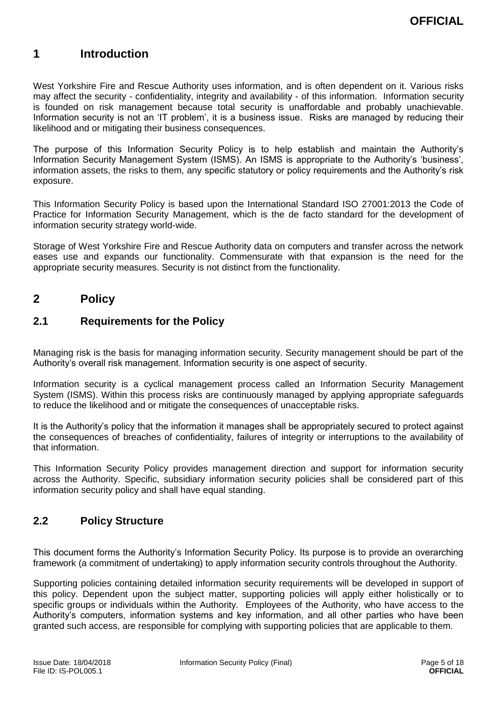## <span id="page-5-0"></span>**1 Introduction**

West Yorkshire Fire and Rescue Authority uses information, and is often dependent on it. Various risks may affect the security - confidentiality, integrity and availability - of this information. Information security is founded on risk management because total security is unaffordable and probably unachievable. Information security is not an 'IT problem', it is a business issue. Risks are managed by reducing their likelihood and or mitigating their business consequences.

The purpose of this Information Security Policy is to help establish and maintain the Authority's Information Security Management System (ISMS). An ISMS is appropriate to the Authority's 'business', information assets, the risks to them, any specific statutory or policy requirements and the Authority's risk exposure.

This Information Security Policy is based upon the International Standard ISO 27001:2013 the Code of Practice for Information Security Management, which is the de facto standard for the development of information security strategy world-wide.

Storage of West Yorkshire Fire and Rescue Authority data on computers and transfer across the network eases use and expands our functionality. Commensurate with that expansion is the need for the appropriate security measures. Security is not distinct from the functionality.

## <span id="page-5-1"></span>**2 Policy**

## <span id="page-5-2"></span>**2.1 Requirements for the Policy**

Managing risk is the basis for managing information security. Security management should be part of the Authority's overall risk management. Information security is one aspect of security.

Information security is a cyclical management process called an Information Security Management System (ISMS). Within this process risks are continuously managed by applying appropriate safeguards to reduce the likelihood and or mitigate the consequences of unacceptable risks.

It is the Authority's policy that the information it manages shall be appropriately secured to protect against the consequences of breaches of confidentiality, failures of integrity or interruptions to the availability of that information.

This Information Security Policy provides management direction and support for information security across the Authority. Specific, subsidiary information security policies shall be considered part of this information security policy and shall have equal standing.

## <span id="page-5-3"></span>**2.2 Policy Structure**

This document forms the Authority's Information Security Policy. Its purpose is to provide an overarching framework (a commitment of undertaking) to apply information security controls throughout the Authority.

Supporting policies containing detailed information security requirements will be developed in support of this policy. Dependent upon the subject matter, supporting policies will apply either holistically or to specific groups or individuals within the Authority. Employees of the Authority, who have access to the Authority's computers, information systems and key information, and all other parties who have been granted such access, are responsible for complying with supporting policies that are applicable to them.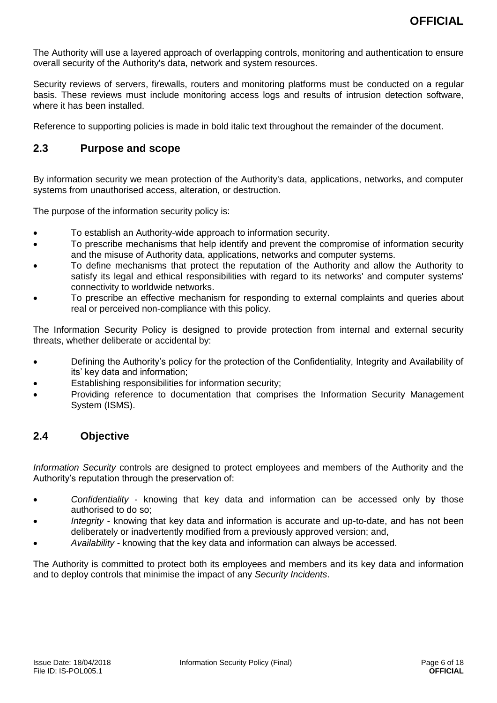The Authority will use a layered approach of overlapping controls, monitoring and authentication to ensure overall security of the Authority's data, network and system resources.

Security reviews of servers, firewalls, routers and monitoring platforms must be conducted on a regular basis. These reviews must include monitoring access logs and results of intrusion detection software, where it has been installed.

Reference to supporting policies is made in bold italic text throughout the remainder of the document.

## <span id="page-6-0"></span>**2.3 Purpose and scope**

By information security we mean protection of the Authority's data, applications, networks, and computer systems from unauthorised access, alteration, or destruction.

The purpose of the information security policy is:

- To establish an Authority-wide approach to information security.
- To prescribe mechanisms that help identify and prevent the compromise of information security and the misuse of Authority data, applications, networks and computer systems.
- To define mechanisms that protect the reputation of the Authority and allow the Authority to satisfy its legal and ethical responsibilities with regard to its networks' and computer systems' connectivity to worldwide networks.
- To prescribe an effective mechanism for responding to external complaints and queries about real or perceived non-compliance with this policy.

The Information Security Policy is designed to provide protection from internal and external security threats, whether deliberate or accidental by:

- Defining the Authority's policy for the protection of the Confidentiality, Integrity and Availability of its' key data and information;
- Establishing responsibilities for information security;
- Providing reference to documentation that comprises the Information Security Management System (ISMS).

## <span id="page-6-1"></span>**2.4 Objective**

*Information Security* controls are designed to protect employees and members of the Authority and the Authority's reputation through the preservation of:

- *Confidentiality* knowing that key data and information can be accessed only by those authorised to do so;
- *Integrity* knowing that key data and information is accurate and up-to-date, and has not been deliberately or inadvertently modified from a previously approved version; and,
- *Availability* knowing that the key data and information can always be accessed.

<span id="page-6-2"></span>The Authority is committed to protect both its employees and members and its key data and information and to deploy controls that minimise the impact of any *Security Incidents*.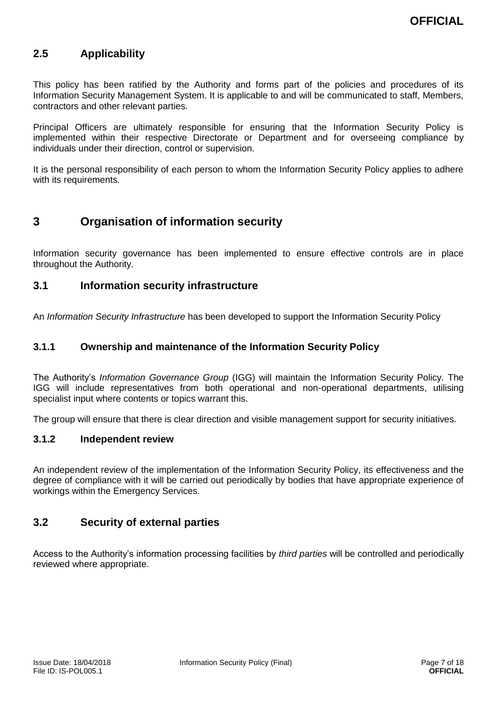## **2.5 Applicability**

This policy has been ratified by the Authority and forms part of the policies and procedures of its Information Security Management System. It is applicable to and will be communicated to staff, Members, contractors and other relevant parties.

Principal Officers are ultimately responsible for ensuring that the Information Security Policy is implemented within their respective Directorate or Department and for overseeing compliance by individuals under their direction, control or supervision.

It is the personal responsibility of each person to whom the Information Security Policy applies to adhere with its requirements.

## <span id="page-7-0"></span>**3 Organisation of information security**

Information security governance has been implemented to ensure effective controls are in place throughout the Authority.

#### <span id="page-7-1"></span>**3.1 Information security infrastructure**

An *Information Security Infrastructure* has been developed to support the Information Security Policy

#### <span id="page-7-2"></span>**3.1.1 Ownership and maintenance of the Information Security Policy**

The Authority's *Information Governance Group* (IGG) will maintain the Information Security Policy. The IGG will include representatives from both operational and non-operational departments, utilising specialist input where contents or topics warrant this.

The group will ensure that there is clear direction and visible management support for security initiatives.

#### <span id="page-7-3"></span>**3.1.2 Independent review**

An independent review of the implementation of the Information Security Policy, its effectiveness and the degree of compliance with it will be carried out periodically by bodies that have appropriate experience of workings within the Emergency Services.

## <span id="page-7-4"></span>**3.2 Security of external parties**

<span id="page-7-5"></span>Access to the Authority's information processing facilities by *third parties* will be controlled and periodically reviewed where appropriate.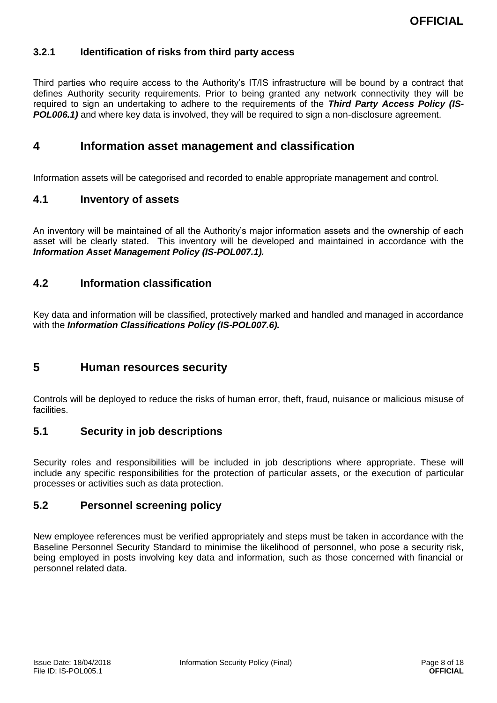#### **3.2.1 Identification of risks from third party access**

Third parties who require access to the Authority's IT/IS infrastructure will be bound by a contract that defines Authority security requirements. Prior to being granted any network connectivity they will be required to sign an undertaking to adhere to the requirements of the *Third Party Access Policy (IS-***POL006.1)** and where key data is involved, they will be required to sign a non-disclosure agreement.

## <span id="page-8-0"></span>**4 Information asset management and classification**

Information assets will be categorised and recorded to enable appropriate management and control.

#### <span id="page-8-1"></span>**4.1 Inventory of assets**

An inventory will be maintained of all the Authority's major information assets and the ownership of each asset will be clearly stated. This inventory will be developed and maintained in accordance with the *Information Asset Management Policy (IS-POL007.1).*

#### <span id="page-8-2"></span>**4.2 Information classification**

Key data and information will be classified, protectively marked and handled and managed in accordance with the *Information Classifications Policy (IS-POL007.6).*

## <span id="page-8-3"></span>**5 Human resources security**

Controls will be deployed to reduce the risks of human error, theft, fraud, nuisance or malicious misuse of facilities.

#### <span id="page-8-4"></span>**5.1 Security in job descriptions**

Security roles and responsibilities will be included in job descriptions where appropriate. These will include any specific responsibilities for the protection of particular assets, or the execution of particular processes or activities such as data protection.

## <span id="page-8-5"></span>**5.2 Personnel screening policy**

<span id="page-8-6"></span>New employee references must be verified appropriately and steps must be taken in accordance with the Baseline Personnel Security Standard to minimise the likelihood of personnel, who pose a security risk, being employed in posts involving key data and information, such as those concerned with financial or personnel related data.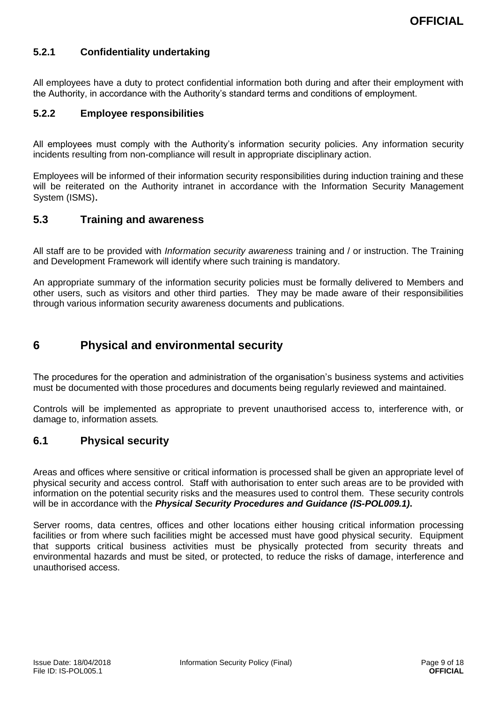### **5.2.1 Confidentiality undertaking**

All employees have a duty to protect confidential information both during and after their employment with the Authority, in accordance with the Authority's standard terms and conditions of employment.

#### <span id="page-9-0"></span>**5.2.2 Employee responsibilities**

All employees must comply with the Authority's information security policies. Any information security incidents resulting from non-compliance will result in appropriate disciplinary action.

Employees will be informed of their information security responsibilities during induction training and these will be reiterated on the Authority intranet in accordance with the Information Security Management System (ISMS)*.*

#### <span id="page-9-1"></span>**5.3 Training and awareness**

All staff are to be provided with *Information security awareness* training and / or instruction. The Training and Development Framework will identify where such training is mandatory.

An appropriate summary of the information security policies must be formally delivered to Members and other users, such as visitors and other third parties. They may be made aware of their responsibilities through various information security awareness documents and publications.

## <span id="page-9-2"></span>**6 Physical and environmental security**

The procedures for the operation and administration of the organisation's business systems and activities must be documented with those procedures and documents being regularly reviewed and maintained.

Controls will be implemented as appropriate to prevent unauthorised access to, interference with, or damage to, information assets*.*

#### <span id="page-9-3"></span>**6.1 Physical security**

Areas and offices where sensitive or critical information is processed shall be given an appropriate level of physical security and access control. Staff with authorisation to enter such areas are to be provided with information on the potential security risks and the measures used to control them. These security controls will be in accordance with the *Physical Security Procedures and Guidance (IS-POL009.1)***.**

<span id="page-9-4"></span>Server rooms, data centres, offices and other locations either housing critical information processing facilities or from where such facilities might be accessed must have good physical security. Equipment that supports critical business activities must be physically protected from security threats and environmental hazards and must be sited, or protected, to reduce the risks of damage, interference and unauthorised access.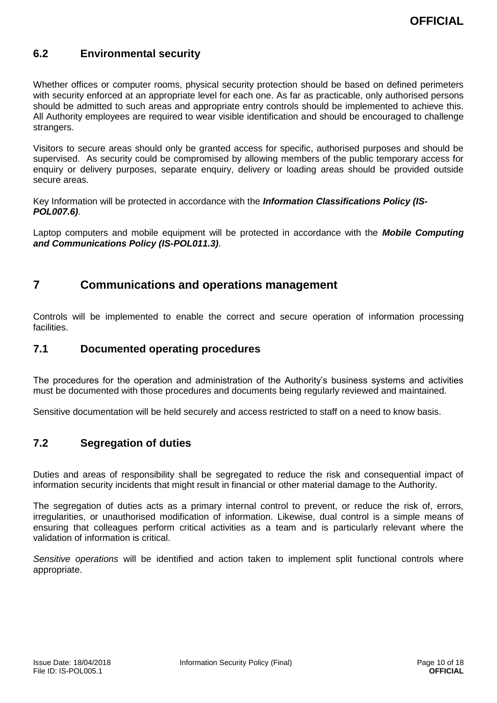## **6.2 Environmental security**

Whether offices or computer rooms, physical security protection should be based on defined perimeters with security enforced at an appropriate level for each one. As far as practicable, only authorised persons should be admitted to such areas and appropriate entry controls should be implemented to achieve this. All Authority employees are required to wear visible identification and should be encouraged to challenge strangers.

Visitors to secure areas should only be granted access for specific, authorised purposes and should be supervised. As security could be compromised by allowing members of the public temporary access for enquiry or delivery purposes, separate enquiry, delivery or loading areas should be provided outside secure areas.

Key Information will be protected in accordance with the *Information Classifications Policy (IS-POL007.6)*.

Laptop computers and mobile equipment will be protected in accordance with the *Mobile Computing and Communications Policy (IS-POL011.3)*.

## <span id="page-10-0"></span>**7 Communications and operations management**

Controls will be implemented to enable the correct and secure operation of information processing facilities.

#### <span id="page-10-1"></span>**7.1 Documented operating procedures**

The procedures for the operation and administration of the Authority's business systems and activities must be documented with those procedures and documents being regularly reviewed and maintained.

Sensitive documentation will be held securely and access restricted to staff on a need to know basis.

#### <span id="page-10-2"></span>**7.2 Segregation of duties**

Duties and areas of responsibility shall be segregated to reduce the risk and consequential impact of information security incidents that might result in financial or other material damage to the Authority.

The segregation of duties acts as a primary internal control to prevent, or reduce the risk of, errors, irregularities, or unauthorised modification of information. Likewise, dual control is a simple means of ensuring that colleagues perform critical activities as a team and is particularly relevant where the validation of information is critical.

<span id="page-10-3"></span>*Sensitive operations* will be identified and action taken to implement split functional controls where appropriate.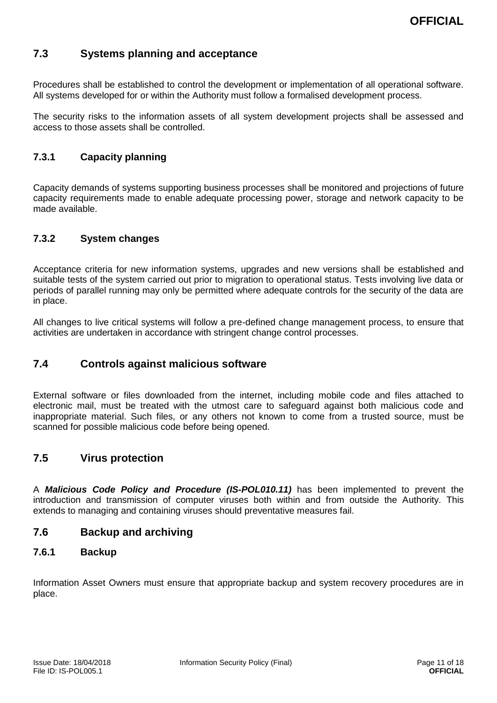## **7.3 Systems planning and acceptance**

Procedures shall be established to control the development or implementation of all operational software. All systems developed for or within the Authority must follow a formalised development process.

The security risks to the information assets of all system development projects shall be assessed and access to those assets shall be controlled.

### <span id="page-11-0"></span>**7.3.1 Capacity planning**

Capacity demands of systems supporting business processes shall be monitored and projections of future capacity requirements made to enable adequate processing power, storage and network capacity to be made available.

### <span id="page-11-1"></span>**7.3.2 System changes**

Acceptance criteria for new information systems, upgrades and new versions shall be established and suitable tests of the system carried out prior to migration to operational status. Tests involving live data or periods of parallel running may only be permitted where adequate controls for the security of the data are in place.

All changes to live critical systems will follow a pre-defined change management process, to ensure that activities are undertaken in accordance with stringent change control processes.

## <span id="page-11-2"></span>**7.4 Controls against malicious software**

External software or files downloaded from the internet, including mobile code and files attached to electronic mail, must be treated with the utmost care to safeguard against both malicious code and inappropriate material. Such files, or any others not known to come from a trusted source, must be scanned for possible malicious code before being opened.

## <span id="page-11-3"></span>**7.5 Virus protection**

A *Malicious Code Policy and Procedure (IS-POL010.11)* has been implemented to prevent the introduction and transmission of computer viruses both within and from outside the Authority. This extends to managing and containing viruses should preventative measures fail.

#### <span id="page-11-4"></span>**7.6 Backup and archiving**

#### <span id="page-11-5"></span>**7.6.1 Backup**

Information Asset Owners must ensure that appropriate backup and system recovery procedures are in place.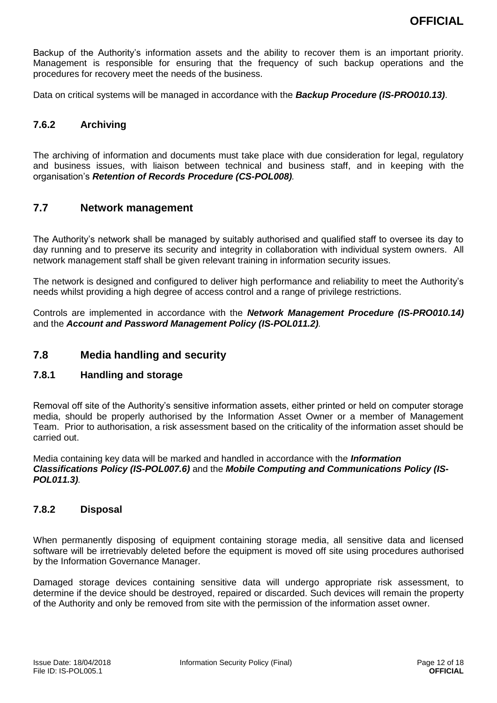Backup of the Authority's information assets and the ability to recover them is an important priority. Management is responsible for ensuring that the frequency of such backup operations and the procedures for recovery meet the needs of the business.

Data on critical systems will be managed in accordance with the *Backup Procedure (IS-PRO010.13)*.

#### <span id="page-12-0"></span>**7.6.2 Archiving**

The archiving of information and documents must take place with due consideration for legal, regulatory and business issues, with liaison between technical and business staff, and in keeping with the organisation's *Retention of Records Procedure (CS-POL008).*

#### <span id="page-12-1"></span>**7.7 Network management**

The Authority's network shall be managed by suitably authorised and qualified staff to oversee its day to day running and to preserve its security and integrity in collaboration with individual system owners. All network management staff shall be given relevant training in information security issues.

The network is designed and configured to deliver high performance and reliability to meet the Authority's needs whilst providing a high degree of access control and a range of privilege restrictions.

Controls are implemented in accordance with the *Network Management Procedure (IS-PRO010.14)* and the *Account and Password Management Policy (IS-POL011.2).*

#### <span id="page-12-2"></span>**7.8 Media handling and security**

#### <span id="page-12-3"></span>**7.8.1 Handling and storage**

Removal off site of the Authority's sensitive information assets, either printed or held on computer storage media, should be properly authorised by the Information Asset Owner or a member of Management Team. Prior to authorisation, a risk assessment based on the criticality of the information asset should be carried out.

Media containing key data will be marked and handled in accordance with the *Information Classifications Policy (IS-POL007.6)* and the *Mobile Computing and Communications Policy (IS-POL011.3).*

#### <span id="page-12-4"></span>**7.8.2 Disposal**

When permanently disposing of equipment containing storage media, all sensitive data and licensed software will be irretrievably deleted before the equipment is moved off site using procedures authorised by the Information Governance Manager.

Damaged storage devices containing sensitive data will undergo appropriate risk assessment, to determine if the device should be destroyed, repaired or discarded. Such devices will remain the property of the Authority and only be removed from site with the permission of the information asset owner.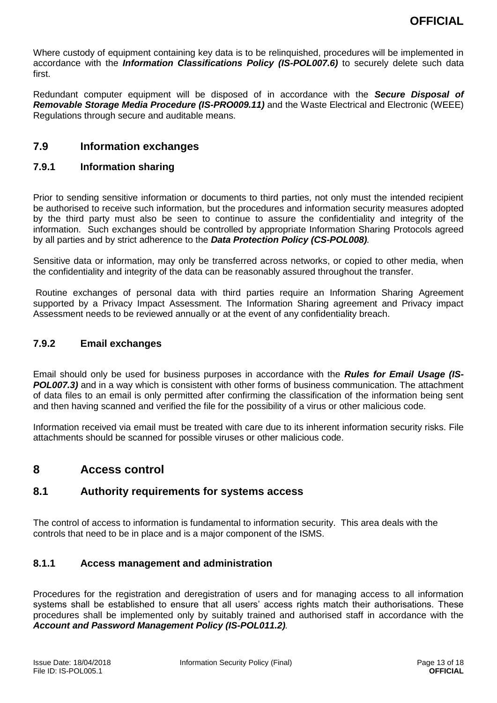Where custody of equipment containing key data is to be relinquished, procedures will be implemented in accordance with the *Information Classifications Policy (IS-POL007.6)* to securely delete such data first.

Redundant computer equipment will be disposed of in accordance with the *Secure Disposal of*  **Removable Storage Media Procedure (IS-PRO009.11)** and the Waste Electrical and Electronic (WEEE) Regulations through secure and auditable means.

### <span id="page-13-0"></span>**7.9 Information exchanges**

#### <span id="page-13-1"></span>**7.9.1 Information sharing**

Prior to sending sensitive information or documents to third parties, not only must the intended recipient be authorised to receive such information, but the procedures and information security measures adopted by the third party must also be seen to continue to assure the confidentiality and integrity of the information. Such exchanges should be controlled by appropriate Information Sharing Protocols agreed by all parties and by strict adherence to the *Data Protection Policy (CS-POL008).*

Sensitive data or information, may only be transferred across networks, or copied to other media, when the confidentiality and integrity of the data can be reasonably assured throughout the transfer.

Routine exchanges of personal data with third parties require an Information Sharing Agreement supported by a Privacy Impact Assessment. The Information Sharing agreement and Privacy impact Assessment needs to be reviewed annually or at the event of any confidentiality breach.

#### <span id="page-13-2"></span>**7.9.2 Email exchanges**

Email should only be used for business purposes in accordance with the *Rules for Email Usage (IS-***POL007.3)** and in a way which is consistent with other forms of business communication. The attachment of data files to an email is only permitted after confirming the classification of the information being sent and then having scanned and verified the file for the possibility of a virus or other malicious code.

Information received via email must be treated with care due to its inherent information security risks. File attachments should be scanned for possible viruses or other malicious code.

## <span id="page-13-3"></span>**8 Access control**

### <span id="page-13-4"></span>**8.1 Authority requirements for systems access**

The control of access to information is fundamental to information security. This area deals with the controls that need to be in place and is a major component of the ISMS.

#### <span id="page-13-5"></span>**8.1.1 Access management and administration**

Procedures for the registration and deregistration of users and for managing access to all information systems shall be established to ensure that all users' access rights match their authorisations. These procedures shall be implemented only by suitably trained and authorised staff in accordance with the *Account and Password Management Policy (IS-POL011.2).*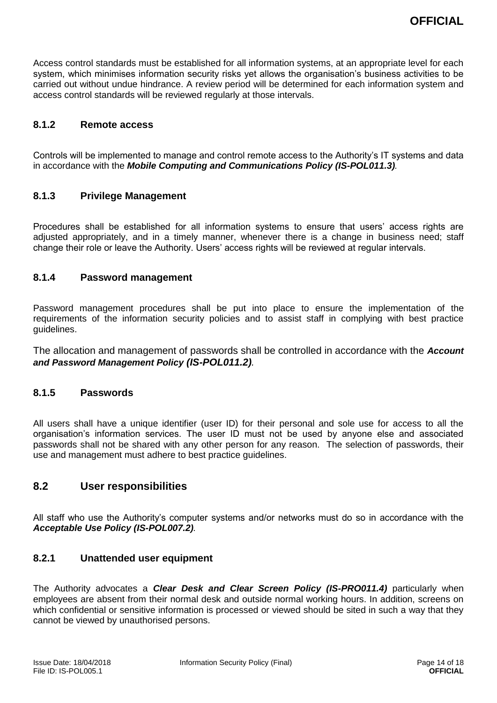Access control standards must be established for all information systems, at an appropriate level for each system, which minimises information security risks yet allows the organisation's business activities to be carried out without undue hindrance. A review period will be determined for each information system and access control standards will be reviewed regularly at those intervals.

#### <span id="page-14-0"></span>**8.1.2 Remote access**

Controls will be implemented to manage and control remote access to the Authority's IT systems and data in accordance with the *Mobile Computing and Communications Policy (IS-POL011.3).*

#### <span id="page-14-1"></span>**8.1.3 Privilege Management**

Procedures shall be established for all information systems to ensure that users' access rights are adjusted appropriately, and in a timely manner, whenever there is a change in business need; staff change their role or leave the Authority. Users' access rights will be reviewed at regular intervals.

#### <span id="page-14-2"></span>**8.1.4 Password management**

Password management procedures shall be put into place to ensure the implementation of the requirements of the information security policies and to assist staff in complying with best practice guidelines.

The allocation and management of passwords shall be controlled in accordance with the *Account and Password Management Policy (IS-POL011.2).*

#### <span id="page-14-3"></span>**8.1.5 Passwords**

All users shall have a unique identifier (user ID) for their personal and sole use for access to all the organisation's information services. The user ID must not be used by anyone else and associated passwords shall not be shared with any other person for any reason. The selection of passwords, their use and management must adhere to best practice guidelines.

#### <span id="page-14-4"></span>**8.2 User responsibilities**

All staff who use the Authority's computer systems and/or networks must do so in accordance with the *Acceptable Use Policy (IS-POL007.2).*

#### <span id="page-14-5"></span>**8.2.1 Unattended user equipment**

The Authority advocates a *Clear Desk and Clear Screen Policy (IS-PRO011.4)* particularly when employees are absent from their normal desk and outside normal working hours. In addition, screens on which confidential or sensitive information is processed or viewed should be sited in such a way that they cannot be viewed by unauthorised persons.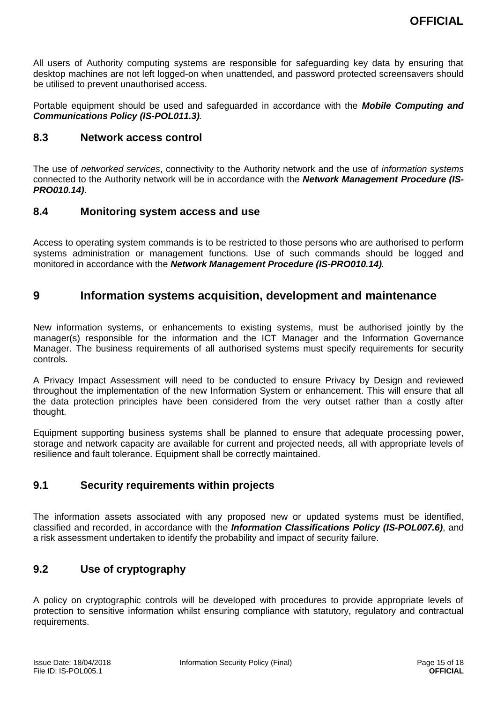All users of Authority computing systems are responsible for safeguarding key data by ensuring that desktop machines are not left logged-on when unattended, and password protected screensavers should be utilised to prevent unauthorised access.

Portable equipment should be used and safeguarded in accordance with the *Mobile Computing and Communications Policy (IS-POL011.3).*

#### <span id="page-15-0"></span>**8.3 Network access control**

The use of *networked services*, connectivity to the Authority network and the use of *information systems* connected to the Authority network will be in accordance with the *Network Management Procedure (IS-PRO010.14)*.

### <span id="page-15-1"></span>**8.4 Monitoring system access and use**

Access to operating system commands is to be restricted to those persons who are authorised to perform systems administration or management functions. Use of such commands should be logged and monitored in accordance with the *Network Management Procedure (IS-PRO010.14).*

## <span id="page-15-2"></span>**9 Information systems acquisition, development and maintenance**

New information systems, or enhancements to existing systems, must be authorised jointly by the manager(s) responsible for the information and the ICT Manager and the Information Governance Manager. The business requirements of all authorised systems must specify requirements for security controls.

A Privacy Impact Assessment will need to be conducted to ensure Privacy by Design and reviewed throughout the implementation of the new Information System or enhancement. This will ensure that all the data protection principles have been considered from the very outset rather than a costly after thought.

Equipment supporting business systems shall be planned to ensure that adequate processing power, storage and network capacity are available for current and projected needs, all with appropriate levels of resilience and fault tolerance. Equipment shall be correctly maintained.

## <span id="page-15-3"></span>**9.1 Security requirements within projects**

The information assets associated with any proposed new or updated systems must be identified, classified and recorded, in accordance with the *Information Classifications Policy (IS-POL007.6)*, and a risk assessment undertaken to identify the probability and impact of security failure.

## <span id="page-15-4"></span>**9.2 Use of cryptography**

A policy on cryptographic controls will be developed with procedures to provide appropriate levels of protection to sensitive information whilst ensuring compliance with statutory, regulatory and contractual requirements.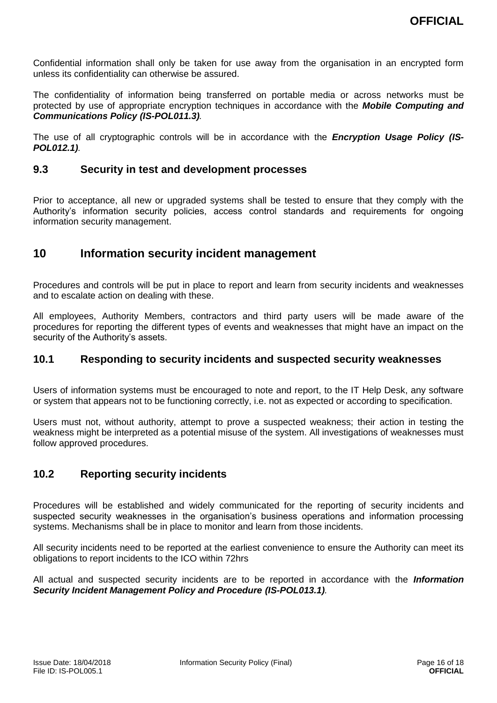Confidential information shall only be taken for use away from the organisation in an encrypted form unless its confidentiality can otherwise be assured.

The confidentiality of information being transferred on portable media or across networks must be protected by use of appropriate encryption techniques in accordance with the *Mobile Computing and Communications Policy (IS-POL011.3).*

The use of all cryptographic controls will be in accordance with the *Encryption Usage Policy (IS-POL012.1).*

### <span id="page-16-0"></span>**9.3 Security in test and development processes**

Prior to acceptance, all new or upgraded systems shall be tested to ensure that they comply with the Authority's information security policies, access control standards and requirements for ongoing information security management.

## <span id="page-16-1"></span>**10 Information security incident management**

Procedures and controls will be put in place to report and learn from security incidents and weaknesses and to escalate action on dealing with these.

All employees, Authority Members, contractors and third party users will be made aware of the procedures for reporting the different types of events and weaknesses that might have an impact on the security of the Authority's assets.

#### <span id="page-16-2"></span>**10.1 Responding to security incidents and suspected security weaknesses**

Users of information systems must be encouraged to note and report, to the IT Help Desk, any software or system that appears not to be functioning correctly, i.e. not as expected or according to specification.

Users must not, without authority, attempt to prove a suspected weakness; their action in testing the weakness might be interpreted as a potential misuse of the system. All investigations of weaknesses must follow approved procedures.

## <span id="page-16-3"></span>**10.2 Reporting security incidents**

Procedures will be established and widely communicated for the reporting of security incidents and suspected security weaknesses in the organisation's business operations and information processing systems. Mechanisms shall be in place to monitor and learn from those incidents.

All security incidents need to be reported at the earliest convenience to ensure the Authority can meet its obligations to report incidents to the ICO within 72hrs

All actual and suspected security incidents are to be reported in accordance with the *Information Security Incident Management Policy and Procedure (IS-POL013.1).*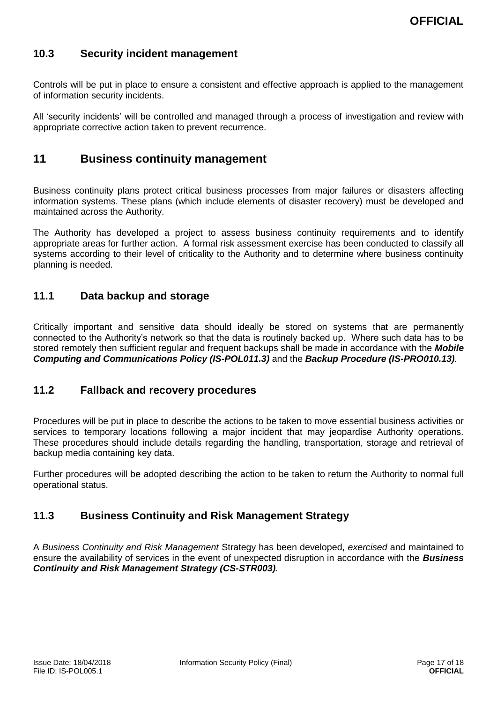## <span id="page-17-0"></span>**10.3 Security incident management**

Controls will be put in place to ensure a consistent and effective approach is applied to the management of information security incidents.

All 'security incidents' will be controlled and managed through a process of investigation and review with appropriate corrective action taken to prevent recurrence.

## <span id="page-17-1"></span>**11 Business continuity management**

Business continuity plans protect critical business processes from major failures or disasters affecting information systems. These plans (which include elements of disaster recovery) must be developed and maintained across the Authority.

The Authority has developed a project to assess business continuity requirements and to identify appropriate areas for further action. A formal risk assessment exercise has been conducted to classify all systems according to their level of criticality to the Authority and to determine where business continuity planning is needed.

### <span id="page-17-2"></span>**11.1 Data backup and storage**

Critically important and sensitive data should ideally be stored on systems that are permanently connected to the Authority's network so that the data is routinely backed up. Where such data has to be stored remotely then sufficient regular and frequent backups shall be made in accordance with the *Mobile Computing and Communications Policy (IS-POL011.3)* and the *Backup Procedure (IS-PRO010.13).*

#### <span id="page-17-3"></span>**11.2 Fallback and recovery procedures**

Procedures will be put in place to describe the actions to be taken to move essential business activities or services to temporary locations following a major incident that may jeopardise Authority operations. These procedures should include details regarding the handling, transportation, storage and retrieval of backup media containing key data.

Further procedures will be adopted describing the action to be taken to return the Authority to normal full operational status.

## <span id="page-17-4"></span>**11.3 Business Continuity and Risk Management Strategy**

A *Business Continuity and Risk Management* Strategy has been developed, *exercised* and maintained to ensure the availability of services in the event of unexpected disruption in accordance with the *Business Continuity and Risk Management Strategy (CS-STR003).*